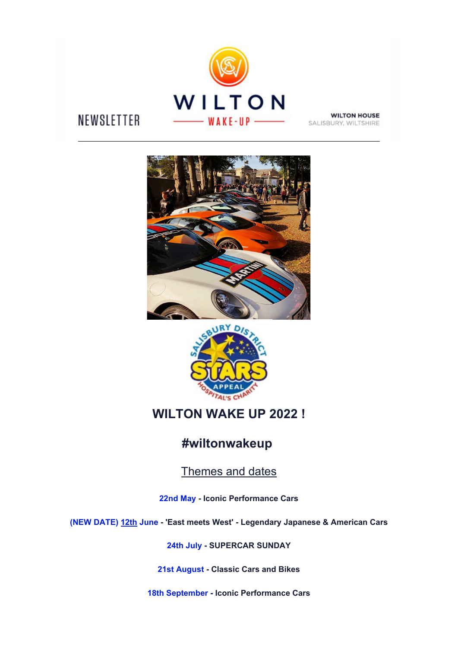

# NEWSLETTER

**WILTON HOUSE** SALISBURY, WILTSHIRE





## **WILTON WAKE UP 2022 !**

## **#wiltonwakeup**

Themes and dates

**22nd May - Iconic Performance Cars**

**(NEW DATE) 12th June - 'East meets West' - Legendary Japanese & American Cars**

**24th July - SUPERCAR SUNDAY**

**21st August - Classic Cars and Bikes**

**18th September - Iconic Performance Cars**